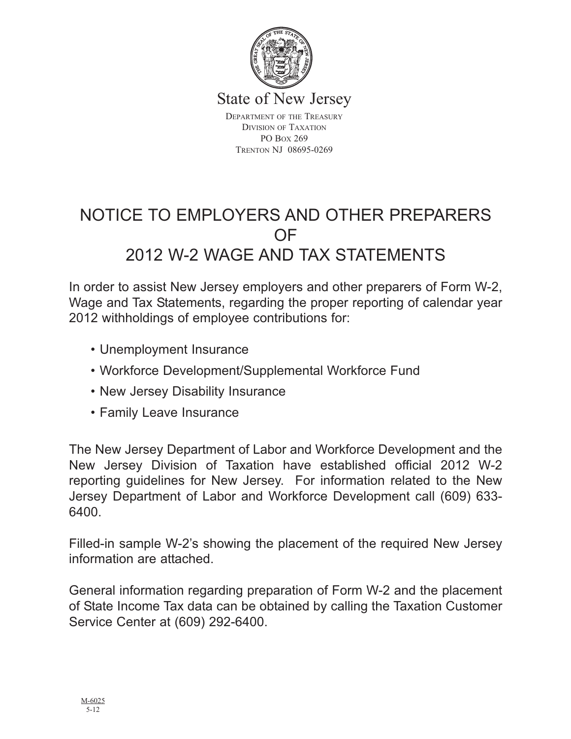

State of New Jersey

DEPARTMENT OF THE TREASURY DIVISION OF TAXATION PO BOX 269 TRENTON NJ 08695-0269

# NOTICE TO EMPLOYERS AND OTHER PREPARERS OF 2012 W-2 WAGE AND TAX STATEMENTS

In order to assist New Jersey employers and other preparers of Form W-2, Wage and Tax Statements, regarding the proper reporting of calendar year 2012 withholdings of employee contributions for:

- Unemployment Insurance
- Workforce Development/Supplemental Workforce Fund
- New Jersey Disability Insurance
- Family Leave Insurance

The New Jersey Department of Labor and Workforce Development and the New Jersey Division of Taxation have established official 2012 W-2 reporting guidelines for New Jersey. For information related to the New Jersey Department of Labor and Workforce Development call (609) 633- 6400.

Filled-in sample W-2's showing the placement of the required New Jersey information are attached.

General information regarding preparation of Form W-2 and the placement of State Income Tax data can be obtained by calling the Taxation Customer Service Center at (609) 292-6400.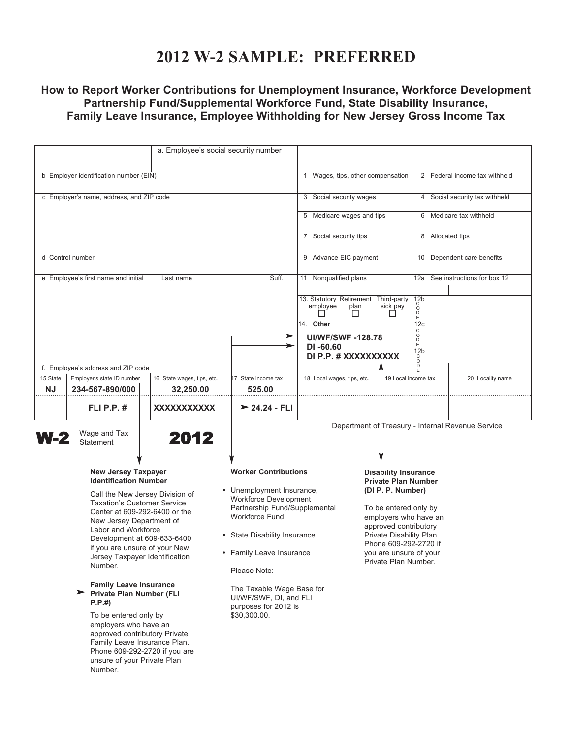### **2012 W-2 SAMPLE: PREFERRED**

### **How to Report Worker Contributions for Unemployment Insurance, Workforce Development Partnership Fund/Supplemental Workforce Fund, State Disability Insurance, Family Leave Insurance, Employee Withholding for New Jersey Gross Income Tax**

| a. Employee's social security number                                                                                                                                                                                                                                                                                                                                                                                                                                                                                                                                                                     |                                               |                                                                                                                              |                               |                                                                                                                                                                                |                         |                                    |                                                   |  |
|----------------------------------------------------------------------------------------------------------------------------------------------------------------------------------------------------------------------------------------------------------------------------------------------------------------------------------------------------------------------------------------------------------------------------------------------------------------------------------------------------------------------------------------------------------------------------------------------------------|-----------------------------------------------|------------------------------------------------------------------------------------------------------------------------------|-------------------------------|--------------------------------------------------------------------------------------------------------------------------------------------------------------------------------|-------------------------|------------------------------------|---------------------------------------------------|--|
|                                                                                                                                                                                                                                                                                                                                                                                                                                                                                                                                                                                                          |                                               |                                                                                                                              |                               |                                                                                                                                                                                |                         |                                    |                                                   |  |
| b Employer identification number (EIN)                                                                                                                                                                                                                                                                                                                                                                                                                                                                                                                                                                   |                                               |                                                                                                                              |                               | 1 Wages, tips, other compensation                                                                                                                                              |                         | 2 Federal income tax withheld      |                                                   |  |
| c Employer's name, address, and ZIP code                                                                                                                                                                                                                                                                                                                                                                                                                                                                                                                                                                 |                                               |                                                                                                                              |                               |                                                                                                                                                                                | 3 Social security wages |                                    | 4 Social security tax withheld                    |  |
|                                                                                                                                                                                                                                                                                                                                                                                                                                                                                                                                                                                                          |                                               |                                                                                                                              |                               | 5 Medicare wages and tips                                                                                                                                                      |                         |                                    | 6 Medicare tax withheld                           |  |
|                                                                                                                                                                                                                                                                                                                                                                                                                                                                                                                                                                                                          |                                               |                                                                                                                              |                               | 7 Social security tips                                                                                                                                                         |                         | 8 Allocated tips                   |                                                   |  |
| d Control number                                                                                                                                                                                                                                                                                                                                                                                                                                                                                                                                                                                         |                                               |                                                                                                                              |                               | 9 Advance EIC payment                                                                                                                                                          |                         | 10 Dependent care benefits         |                                                   |  |
| e Employee's first name and initial                                                                                                                                                                                                                                                                                                                                                                                                                                                                                                                                                                      |                                               | Last name                                                                                                                    | Suff.                         | 11 Nonqualified plans                                                                                                                                                          |                         | See instructions for box 12<br>12a |                                                   |  |
|                                                                                                                                                                                                                                                                                                                                                                                                                                                                                                                                                                                                          |                                               |                                                                                                                              |                               | 13. Statutory Retirement Third-party<br>employee<br>plan<br>$\perp$                                                                                                            | sick pay                | 12b<br>ŏ<br>$_{E}^{D}$             |                                                   |  |
|                                                                                                                                                                                                                                                                                                                                                                                                                                                                                                                                                                                                          |                                               |                                                                                                                              |                               | 14. Other                                                                                                                                                                      |                         | 12c<br>C                           |                                                   |  |
|                                                                                                                                                                                                                                                                                                                                                                                                                                                                                                                                                                                                          |                                               |                                                                                                                              | ⋗                             | <b>UI/WF/SWF-128.78</b>                                                                                                                                                        |                         | O<br>D<br>E                        |                                                   |  |
|                                                                                                                                                                                                                                                                                                                                                                                                                                                                                                                                                                                                          |                                               |                                                                                                                              |                               | $DI - 60.60$<br>DI P.P. # XXXXXXXXXX                                                                                                                                           |                         | 12 <sub>b</sub>                    |                                                   |  |
| f. Employee's address and ZIP code                                                                                                                                                                                                                                                                                                                                                                                                                                                                                                                                                                       |                                               |                                                                                                                              |                               |                                                                                                                                                                                |                         | $\overline{0}$                     |                                                   |  |
| 15 State<br><b>NJ</b>                                                                                                                                                                                                                                                                                                                                                                                                                                                                                                                                                                                    | Employer's state ID number<br>234-567-890/000 | 16 State wages, tips, etc.<br>32,250.00                                                                                      | 17 State income tax<br>525.00 | 18 Local wages, tips, etc.                                                                                                                                                     | 19 Local income tax     |                                    | 20 Locality name                                  |  |
|                                                                                                                                                                                                                                                                                                                                                                                                                                                                                                                                                                                                          | FLI P.P. $#$                                  | XXXXXXXXXXX                                                                                                                  | $\rightarrow$ 24.24 - FLI     |                                                                                                                                                                                |                         |                                    |                                                   |  |
| <b>N-2</b>                                                                                                                                                                                                                                                                                                                                                                                                                                                                                                                                                                                               | Wage and Tax<br><b>Statement</b>              | 2012                                                                                                                         |                               |                                                                                                                                                                                |                         |                                    | Department of Treasury - Internal Revenue Service |  |
| <b>New Jersey Taxpayer</b><br><b>Identification Number</b><br>Call the New Jersey Division of<br><b>Taxation's Customer Service</b><br>Center at 609-292-6400 or the<br>New Jersey Department of<br>Labor and Workforce<br>Development at 609-633-6400<br>if you are unsure of your New<br>Jersey Taxpayer Identification<br>Number.<br><b>Family Leave Insurance</b><br>Private Plan Number (FLI<br>P.P.#<br>To be entered only by<br>employers who have an<br>approved contributory Private<br>Family Leave Insurance Plan.<br>Phone 609-292-2720 if you are<br>unsure of your Private Plan<br>Number. |                                               | <b>Worker Contributions</b><br>• Unemployment Insurance,<br><b>Workforce Development</b>                                     |                               | <b>Disability Insurance</b><br><b>Private Plan Number</b><br>(DI P. P. Number)                                                                                                 |                         |                                    |                                                   |  |
|                                                                                                                                                                                                                                                                                                                                                                                                                                                                                                                                                                                                          |                                               | Partnership Fund/Supplemental<br>Workforce Fund.<br>• State Disability Insurance<br>• Family Leave Insurance<br>Please Note: |                               | To be entered only by<br>employers who have an<br>approved contributory<br>Private Disability Plan.<br>Phone 609-292-2720 if<br>you are unsure of your<br>Private Plan Number. |                         |                                    |                                                   |  |
|                                                                                                                                                                                                                                                                                                                                                                                                                                                                                                                                                                                                          |                                               | The Taxable Wage Base for<br>UI/WF/SWF, DI, and FLI<br>purposes for 2012 is<br>\$30,300.00.                                  |                               |                                                                                                                                                                                |                         |                                    |                                                   |  |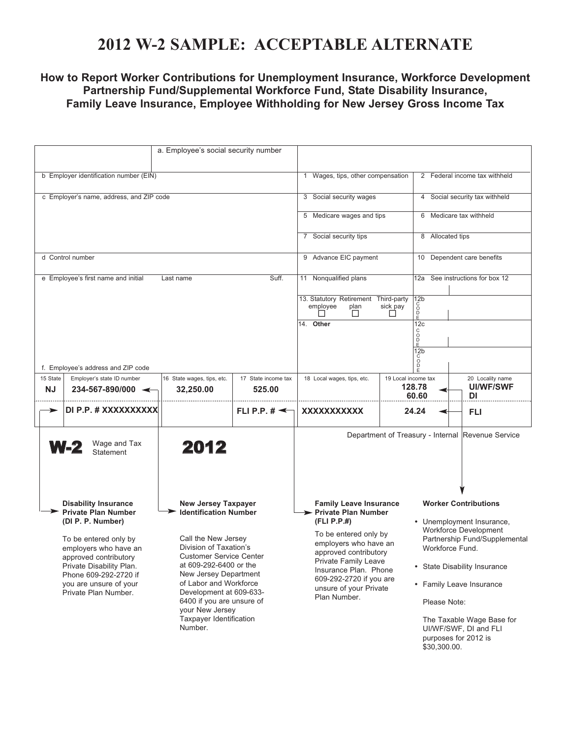## **2012 W-2 SAMPLE: ACCEPTABLE ALTERNATE**

### **How to Report Worker Contributions for Unemployment Insurance, Workforce Development Partnership Fund/Supplemental Workforce Fund, State Disability Insurance, Family Leave Insurance, Employee Withholding for New Jersey Gross Income Tax**

| a. Employee's social security number                                                                                                                                                                                                                                                                                                                                                                                                                                                                                                                                                                            |                                                                  |                                                                                                                                                                                                                                                                        |                                                                                                                                                                                                                                                                                                                 |                                                               |                                            |                                                   |
|-----------------------------------------------------------------------------------------------------------------------------------------------------------------------------------------------------------------------------------------------------------------------------------------------------------------------------------------------------------------------------------------------------------------------------------------------------------------------------------------------------------------------------------------------------------------------------------------------------------------|------------------------------------------------------------------|------------------------------------------------------------------------------------------------------------------------------------------------------------------------------------------------------------------------------------------------------------------------|-----------------------------------------------------------------------------------------------------------------------------------------------------------------------------------------------------------------------------------------------------------------------------------------------------------------|---------------------------------------------------------------|--------------------------------------------|---------------------------------------------------|
| b Employer identification number (EIN)                                                                                                                                                                                                                                                                                                                                                                                                                                                                                                                                                                          |                                                                  |                                                                                                                                                                                                                                                                        | 1 Wages, tips, other compensation                                                                                                                                                                                                                                                                               |                                                               | 2 Federal income tax withheld              |                                                   |
|                                                                                                                                                                                                                                                                                                                                                                                                                                                                                                                                                                                                                 | c Employer's name, address, and ZIP code                         | 3 Social security wages                                                                                                                                                                                                                                                |                                                                                                                                                                                                                                                                                                                 | 4 Social security tax withheld                                |                                            |                                                   |
|                                                                                                                                                                                                                                                                                                                                                                                                                                                                                                                                                                                                                 |                                                                  |                                                                                                                                                                                                                                                                        |                                                                                                                                                                                                                                                                                                                 | 5 Medicare wages and tips                                     |                                            | 6 Medicare tax withheld                           |
|                                                                                                                                                                                                                                                                                                                                                                                                                                                                                                                                                                                                                 |                                                                  |                                                                                                                                                                                                                                                                        |                                                                                                                                                                                                                                                                                                                 | 7 Social security tips                                        |                                            | 8 Allocated tips                                  |
|                                                                                                                                                                                                                                                                                                                                                                                                                                                                                                                                                                                                                 | d Control number                                                 |                                                                                                                                                                                                                                                                        |                                                                                                                                                                                                                                                                                                                 | 9 Advance EIC payment                                         |                                            | 10 Dependent care benefits                        |
|                                                                                                                                                                                                                                                                                                                                                                                                                                                                                                                                                                                                                 | e Employee's first name and initial                              | Last name                                                                                                                                                                                                                                                              | Suff.                                                                                                                                                                                                                                                                                                           | 11 Nonqualified plans<br>13. Statutory Retirement Third-party | 12 <sub>b</sub>                            | 12a See instructions for box 12                   |
|                                                                                                                                                                                                                                                                                                                                                                                                                                                                                                                                                                                                                 |                                                                  |                                                                                                                                                                                                                                                                        |                                                                                                                                                                                                                                                                                                                 | employee<br>plan<br>$\mathsf{L}$                              | င်<br>ဝ<br>sick pay<br>$\check{P}$<br>ΙI   |                                                   |
|                                                                                                                                                                                                                                                                                                                                                                                                                                                                                                                                                                                                                 |                                                                  |                                                                                                                                                                                                                                                                        |                                                                                                                                                                                                                                                                                                                 | 14. Other                                                     | 12c<br>C<br>D<br>D<br>E<br>12 <sub>b</sub> |                                                   |
| f. Employee's address and ZIP code                                                                                                                                                                                                                                                                                                                                                                                                                                                                                                                                                                              |                                                                  |                                                                                                                                                                                                                                                                        |                                                                                                                                                                                                                                                                                                                 |                                                               | င်<br>ဝ                                    |                                                   |
| 15 State<br><b>NJ</b>                                                                                                                                                                                                                                                                                                                                                                                                                                                                                                                                                                                           | Employer's state ID number<br>$234 - 567 - 890/000$ $\leftarrow$ | 16 State wages, tips, etc.<br>32,250.00                                                                                                                                                                                                                                | 17 State income tax<br>525.00                                                                                                                                                                                                                                                                                   | 18 Local wages, tips, etc.                                    | 19 Local income tax<br>128.78<br>60.60     | 20 Locality name<br><b>UI/WF/SWF</b><br>DI        |
|                                                                                                                                                                                                                                                                                                                                                                                                                                                                                                                                                                                                                 | DI P.P. # XXXXXXXXXX                                             |                                                                                                                                                                                                                                                                        | FLI P.P. $\sharp \preceq$                                                                                                                                                                                                                                                                                       | XXXXXXXXXXX                                                   | 24.24                                      | FLI                                               |
|                                                                                                                                                                                                                                                                                                                                                                                                                                                                                                                                                                                                                 | Wage and Tax<br><b>W-2</b><br><b>Statement</b>                   | 2012                                                                                                                                                                                                                                                                   |                                                                                                                                                                                                                                                                                                                 |                                                               |                                            | Department of Treasury - Internal Revenue Service |
| <b>Disability Insurance</b><br><b>New Jersey Taxpayer</b><br><b>Private Plan Number</b><br><b>Identification Number</b><br>(DI P. P. Number)<br>Call the New Jersey<br>To be entered only by<br>Division of Taxation's<br>employers who have an<br><b>Customer Service Center</b><br>approved contributory<br>at 609-292-6400 or the<br>Private Disability Plan.<br>New Jersey Department<br>Phone 609-292-2720 if<br>of Labor and Workforce<br>you are unsure of your<br>Development at 609-633-<br>Private Plan Number.<br>6400 if you are unsure of<br>your New Jersey<br>Taxpayer Identification<br>Number. |                                                                  | <b>Family Leave Insurance</b><br>> Private Plan Number<br>(FLI P.P.#)<br>To be entered only by<br>employers who have an<br>approved contributory<br>Private Family Leave<br>Insurance Plan. Phone<br>609-292-2720 if you are<br>unsure of your Private<br>Plan Number. | <b>Worker Contributions</b><br>• Unemployment Insurance,<br>Workforce Development<br>Partnership Fund/Supplemental<br>Workforce Fund.<br>• State Disability Insurance<br>• Family Leave Insurance<br>Please Note:<br>The Taxable Wage Base for<br>UI/WF/SWF, DI and FLI<br>purposes for 2012 is<br>\$30,300.00. |                                                               |                                            |                                                   |